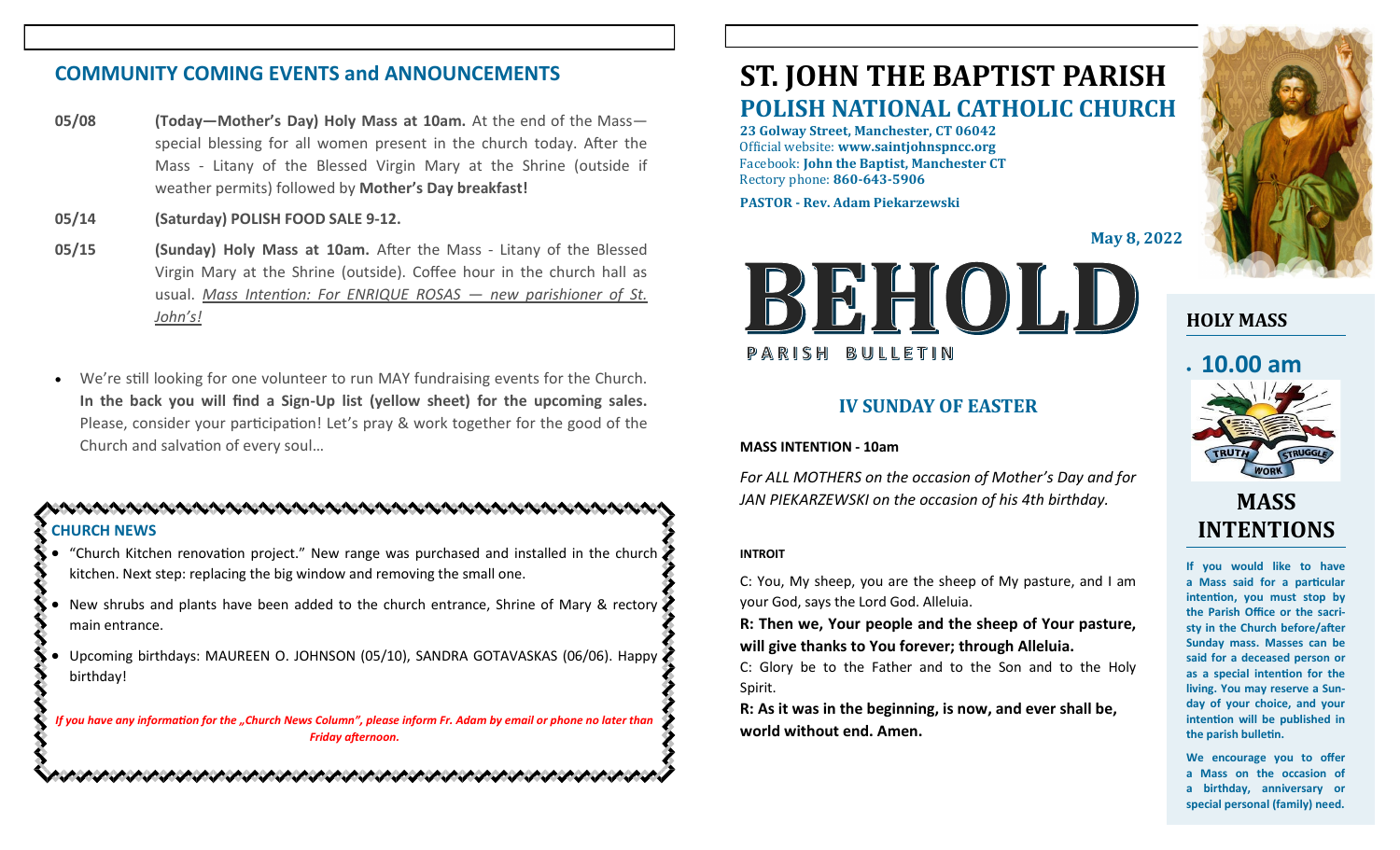## **COMMUNITY COMING EVENTS and ANNOUNCEMENTS**

- **05/08 (Today—Mother's Day) Holy Mass at 10am.** At the end of the Mass special blessing for all women present in the church today. After the Mass - Litany of the Blessed Virgin Mary at the Shrine (outside if weather permits) followed by **Mother's Day breakfast!**
- **05/14 (Saturday) POLISH FOOD SALE 9-12.**
- **05/15 (Sunday) Holy Mass at 10am.** After the Mass Litany of the Blessed Virgin Mary at the Shrine (outside). Coffee hour in the church hall as usual. *Mass Intention: For ENRIQUE ROSAS — new parishioner of St. John's!*
- We're still looking for one volunteer to run MAY fundraising events for the Church. **In the back you will find a Sign-Up list (yellow sheet) for the upcoming sales.**  Please, consider your participation! Let's pray & work together for the good of the Church and salvation of every soul…

### **CHURCH NEWS**

- "Church Kitchen renovation project." New range was purchased and installed in the church kitchen. Next step: replacing the big window and removing the small one.
- New shrubs and plants have been added to the church entrance, Shrine of Mary & rectory main entrance.
- Upcoming birthdays: MAUREEN O. JOHNSON (05/10), SANDRA GOTAVASKAS (06/06). Happy birthday!

*If you have any information for the "Church News Column", please inform Fr. Adam by email or phone no later than Friday afternoon.*

こうこうこうこうこうこうこう きょうこうこうこう きょうこうこう きょうこうこう きょうこうこう

# **ST. JOHN THE BAPTIST PARISH POLISH NATIONAL CATHOLIC CHURCH**

**23 Golway Street, Manchester, CT 06042** Official website: **www.saintjohnspncc.org** Facebook: **John the Baptist, Manchester CT** Rectory phone: **860-643-5906** 

**PASTOR - Rev. Adam Piekarzewski**

**May 8, 2022**



## **IV SUNDAY OF EASTER**

#### **MASS INTENTION - 10am**

*For ALL MOTHERS on the occasion of Mother's Day and for JAN PIEKARZEWSKI on the occasion of his 4th birthday.* 

#### **INTROIT**

C: You, My sheep, you are the sheep of My pasture, and I am your God, says the Lord God. Alleluia.

**R: Then we, Your people and the sheep of Your pasture, will give thanks to You forever; through Alleluia.**

C: Glory be to the Father and to the Son and to the Holy Spirit.

**R: As it was in the beginning, is now, and ever shall be, world without end. Amen.**



**HOLY MASS**

## • **10.00 am**



# **MASS INTENTIONS**

**If you would like to have a Mass said for a particular intention, you must stop by the Parish Office or the sacristy in the Church before/after Sunday mass. Masses can be said for a deceased person or as a special intention for the living. You may reserve a Sunday of your choice, and your intention will be published in the parish bulletin.**

**We encourage you to offer a Mass on the occasion of a birthday, anniversary or special personal (family) need.**